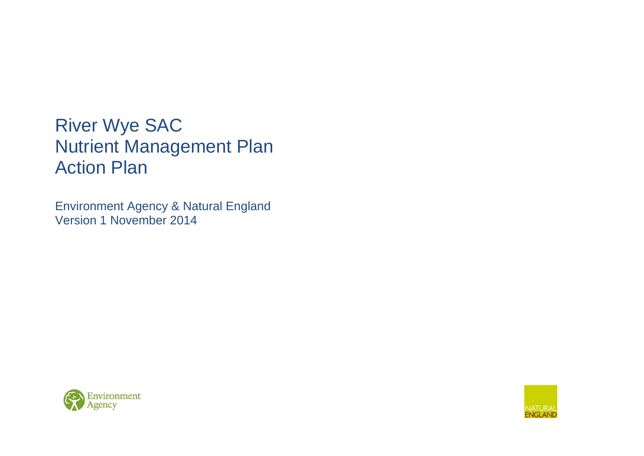# River Wye SAC Nutrient Management Plan Action Plan

Environment Agency & Natural England Version 1 November 2014



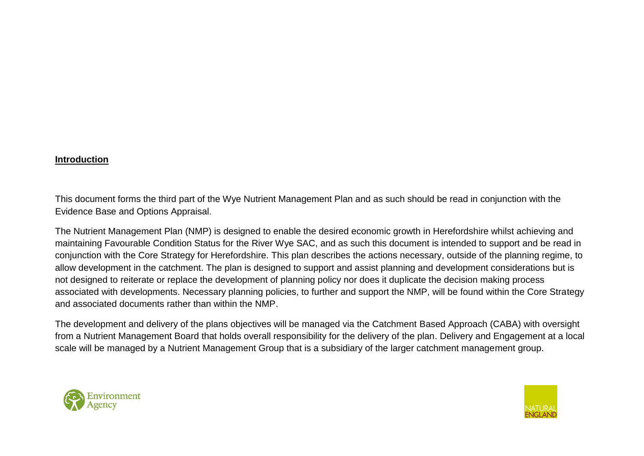#### **Introduction**

This document forms the third part of the Wye Nutrient Management Plan and as such should be read in conjunction with the Evidence Base and Options Appraisal.

The Nutrient Management Plan (NMP) is designed to enable the desired economic growth in Herefordshire whilst achieving and maintaining Favourable Condition Status for the River Wye SAC, and as such this document is intended to support and be read in conjunction with the Core Strategy for Herefordshire. This plan describes the actions necessary, outside of the planning regime, to allow development in the catchment. The plan is designed to support and assist planning and development considerations but is not designed to reiterate or replace the development of planning policy nor does it duplicate the decision making process associated with developments. Necessary planning policies, to further and support the NMP, will be found within the Core Strategy and associated documents rather than within the NMP.

The development and delivery of the plans objectives will be managed via the Catchment Based Approach (CABA) with oversight from a Nutrient Management Board that holds overall responsibility for the delivery of the plan. Delivery and Engagement at a local scale will be managed by a Nutrient Management Group that is a subsidiary of the larger catchment management group.



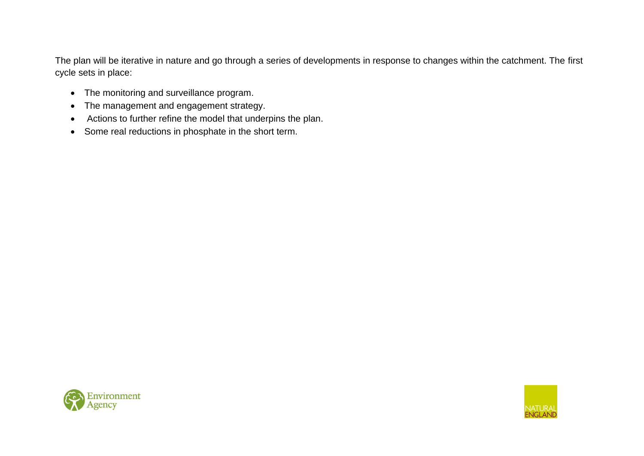The plan will be iterative in nature and go through a series of developments in response to changes within the catchment. The first cycle sets in place:

- The monitoring and surveillance program.
- The management and engagement strategy.
- Actions to further refine the model that underpins the plan.
- Some real reductions in phosphate in the short term.



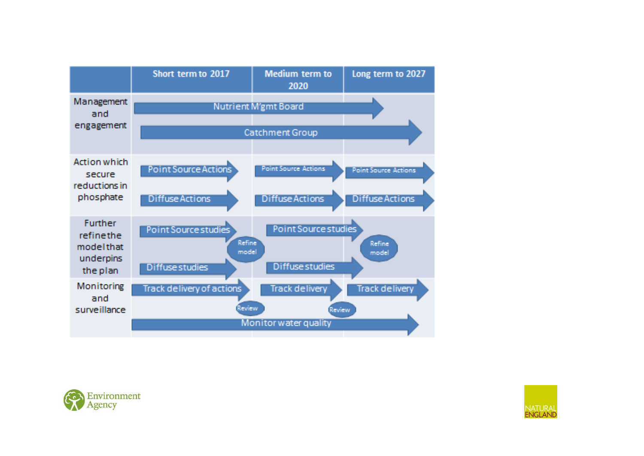



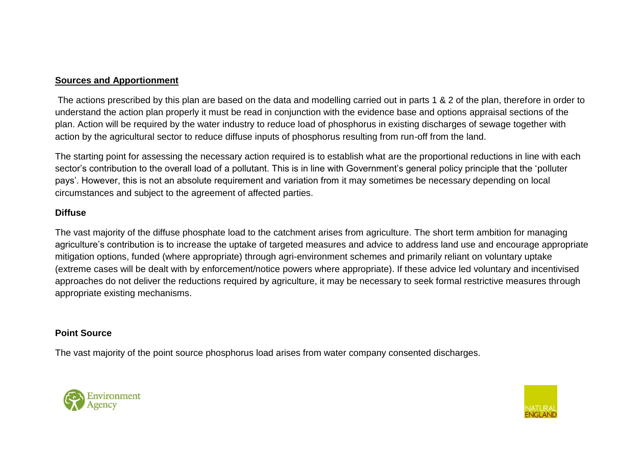#### **Sources and Apportionment**

The actions prescribed by this plan are based on the data and modelling carried out in parts 1 & 2 of the plan, therefore in order to understand the action plan properly it must be read in conjunction with the evidence base and options appraisal sections of the plan. Action will be required by the water industry to reduce load of phosphorus in existing discharges of sewage together with action by the agricultural sector to reduce diffuse inputs of phosphorus resulting from run-off from the land.

The starting point for assessing the necessary action required is to establish what are the proportional reductions in line with each sector's contribution to the overall load of a pollutant. This is in line with Government's general policy principle that the 'polluter pays'. However, this is not an absolute requirement and variation from it may sometimes be necessary depending on local circumstances and subject to the agreement of affected parties.

# **Diffuse**

The vast majority of the diffuse phosphate load to the catchment arises from agriculture. The short term ambition for managing agriculture's contribution is to increase the uptake of targeted measures and advice to address land use and encourage appropriate mitigation options, funded (where appropriate) through agri-environment schemes and primarily reliant on voluntary uptake (extreme cases will be dealt with by enforcement/notice powers where appropriate). If these advice led voluntary and incentivised approaches do not deliver the reductions required by agriculture, it may be necessary to seek formal restrictive measures through appropriate existing mechanisms.

#### **Point Source**

The vast majority of the point source phosphorus load arises from water company consented discharges.



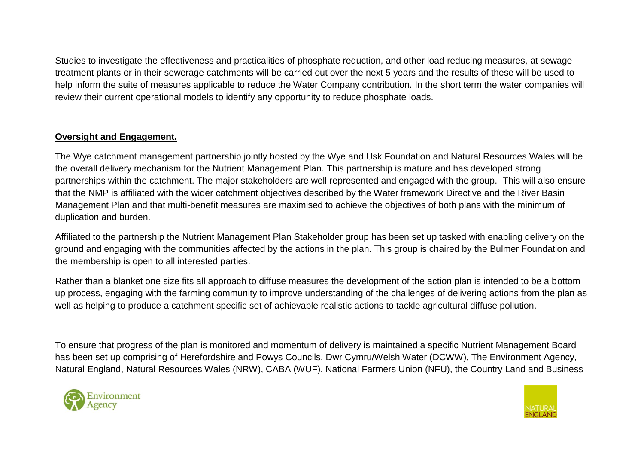Studies to investigate the effectiveness and practicalities of phosphate reduction, and other load reducing measures, at sewage treatment plants or in their sewerage catchments will be carried out over the next 5 years and the results of these will be used to help inform the suite of measures applicable to reduce the Water Company contribution. In the short term the water companies will review their current operational models to identify any opportunity to reduce phosphate loads.

## **Oversight and Engagement.**

The Wye catchment management partnership jointly hosted by the Wye and Usk Foundation and Natural Resources Wales will be the overall delivery mechanism for the Nutrient Management Plan. This partnership is mature and has developed strong partnerships within the catchment. The major stakeholders are well represented and engaged with the group. This will also ensure that the NMP is affiliated with the wider catchment objectives described by the Water framework Directive and the River Basin Management Plan and that multi-benefit measures are maximised to achieve the objectives of both plans with the minimum of duplication and burden.

Affiliated to the partnership the Nutrient Management Plan Stakeholder group has been set up tasked with enabling delivery on the ground and engaging with the communities affected by the actions in the plan. This group is chaired by the Bulmer Foundation and the membership is open to all interested parties.

Rather than a blanket one size fits all approach to diffuse measures the development of the action plan is intended to be a bottom up process, engaging with the farming community to improve understanding of the challenges of delivering actions from the plan as well as helping to produce a catchment specific set of achievable realistic actions to tackle agricultural diffuse pollution.

To ensure that progress of the plan is monitored and momentum of delivery is maintained a specific Nutrient Management Board has been set up comprising of Herefordshire and Powys Councils, Dwr Cymru/Welsh Water (DCWW), The Environment Agency, Natural England, Natural Resources Wales (NRW), CABA (WUF), National Farmers Union (NFU), the Country Land and Business



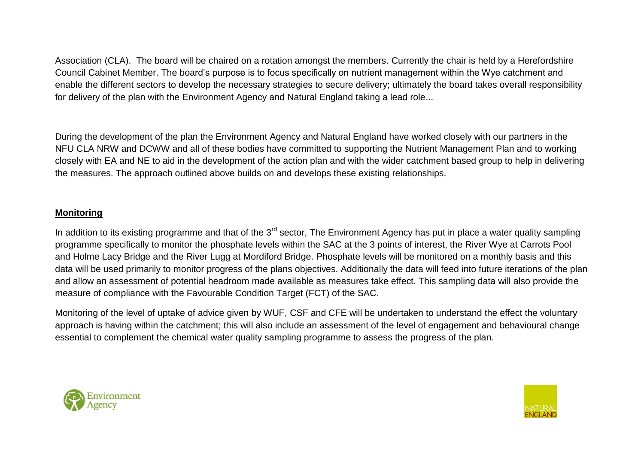Association (CLA). The board will be chaired on a rotation amongst the members. Currently the chair is held by a Herefordshire Council Cabinet Member. The board's purpose is to focus specifically on nutrient management within the Wye catchment and enable the different sectors to develop the necessary strategies to secure delivery; ultimately the board takes overall responsibility for delivery of the plan with the Environment Agency and Natural England taking a lead role...

During the development of the plan the Environment Agency and Natural England have worked closely with our partners in the NFU CLA NRW and DCWW and all of these bodies have committed to supporting the Nutrient Management Plan and to working closely with EA and NE to aid in the development of the action plan and with the wider catchment based group to help in delivering the measures. The approach outlined above builds on and develops these existing relationships.

## **Monitoring**

In addition to its existing programme and that of the  $3<sup>rd</sup>$  sector, The Environment Agency has put in place a water quality sampling programme specifically to monitor the phosphate levels within the SAC at the 3 points of interest, the River Wye at Carrots Pool and Holme Lacy Bridge and the River Lugg at Mordiford Bridge. Phosphate levels will be monitored on a monthly basis and this data will be used primarily to monitor progress of the plans objectives. Additionally the data will feed into future iterations of the plan and allow an assessment of potential headroom made available as measures take effect. This sampling data will also provide the measure of compliance with the Favourable Condition Target (FCT) of the SAC.

Monitoring of the level of uptake of advice given by WUF, CSF and CFE will be undertaken to understand the effect the voluntary approach is having within the catchment; this will also include an assessment of the level of engagement and behavioural change essential to complement the chemical water quality sampling programme to assess the progress of the plan.



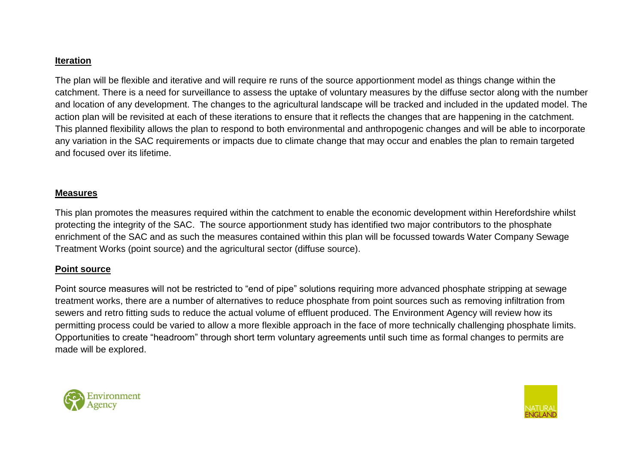#### **Iteration**

The plan will be flexible and iterative and will require re runs of the source apportionment model as things change within the catchment. There is a need for surveillance to assess the uptake of voluntary measures by the diffuse sector along with the number and location of any development. The changes to the agricultural landscape will be tracked and included in the updated model. The action plan will be revisited at each of these iterations to ensure that it reflects the changes that are happening in the catchment. This planned flexibility allows the plan to respond to both environmental and anthropogenic changes and will be able to incorporate any variation in the SAC requirements or impacts due to climate change that may occur and enables the plan to remain targeted and focused over its lifetime.

#### **Measures**

This plan promotes the measures required within the catchment to enable the economic development within Herefordshire whilst protecting the integrity of the SAC. The source apportionment study has identified two major contributors to the phosphate enrichment of the SAC and as such the measures contained within this plan will be focussed towards Water Company Sewage Treatment Works (point source) and the agricultural sector (diffuse source).

# **Point source**

Point source measures will not be restricted to "end of pipe" solutions requiring more advanced phosphate stripping at sewage treatment works, there are a number of alternatives to reduce phosphate from point sources such as removing infiltration from sewers and retro fitting suds to reduce the actual volume of effluent produced. The Environment Agency will review how its permitting process could be varied to allow a more flexible approach in the face of more technically challenging phosphate limits. Opportunities to create "headroom" through short term voluntary agreements until such time as formal changes to permits are made will be explored.



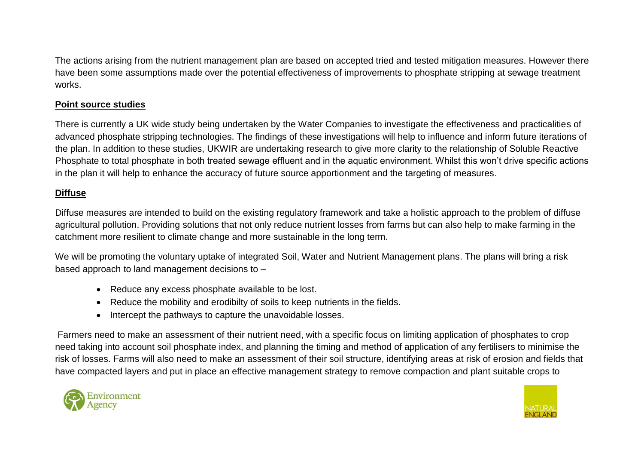The actions arising from the nutrient management plan are based on accepted tried and tested mitigation measures. However there have been some assumptions made over the potential effectiveness of improvements to phosphate stripping at sewage treatment works.

# **Point source studies**

There is currently a UK wide study being undertaken by the Water Companies to investigate the effectiveness and practicalities of advanced phosphate stripping technologies. The findings of these investigations will help to influence and inform future iterations of the plan. In addition to these studies, UKWIR are undertaking research to give more clarity to the relationship of Soluble Reactive Phosphate to total phosphate in both treated sewage effluent and in the aquatic environment. Whilst this won't drive specific actions in the plan it will help to enhance the accuracy of future source apportionment and the targeting of measures.

# **Diffuse**

Diffuse measures are intended to build on the existing regulatory framework and take a holistic approach to the problem of diffuse agricultural pollution. Providing solutions that not only reduce nutrient losses from farms but can also help to make farming in the catchment more resilient to climate change and more sustainable in the long term.

We will be promoting the voluntary uptake of integrated Soil, Water and Nutrient Management plans. The plans will bring a risk based approach to land management decisions to –

- Reduce any excess phosphate available to be lost.
- Reduce the mobility and erodibilty of soils to keep nutrients in the fields.
- Intercept the pathways to capture the unavoidable losses.

Farmers need to make an assessment of their nutrient need, with a specific focus on limiting application of phosphates to crop need taking into account soil phosphate index, and planning the timing and method of application of any fertilisers to minimise the risk of losses. Farms will also need to make an assessment of their soil structure, identifying areas at risk of erosion and fields that have compacted layers and put in place an effective management strategy to remove compaction and plant suitable crops to



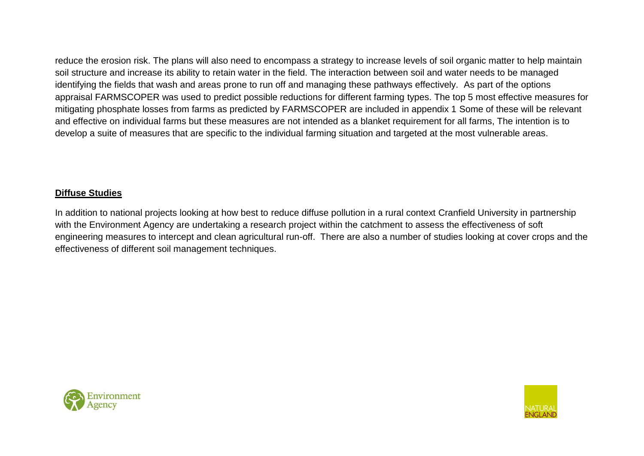reduce the erosion risk. The plans will also need to encompass a strategy to increase levels of soil organic matter to help maintain soil structure and increase its ability to retain water in the field. The interaction between soil and water needs to be managed identifying the fields that wash and areas prone to run off and managing these pathways effectively. As part of the options appraisal FARMSCOPER was used to predict possible reductions for different farming types. The top 5 most effective measures for mitigating phosphate losses from farms as predicted by FARMSCOPER are included in appendix 1 Some of these will be relevant and effective on individual farms but these measures are not intended as a blanket requirement for all farms, The intention is to develop a suite of measures that are specific to the individual farming situation and targeted at the most vulnerable areas.

# **Diffuse Studies**

In addition to national projects looking at how best to reduce diffuse pollution in a rural context Cranfield University in partnership with the Environment Agency are undertaking a research project within the catchment to assess the effectiveness of soft engineering measures to intercept and clean agricultural run-off. There are also a number of studies looking at cover crops and the effectiveness of different soil management techniques.



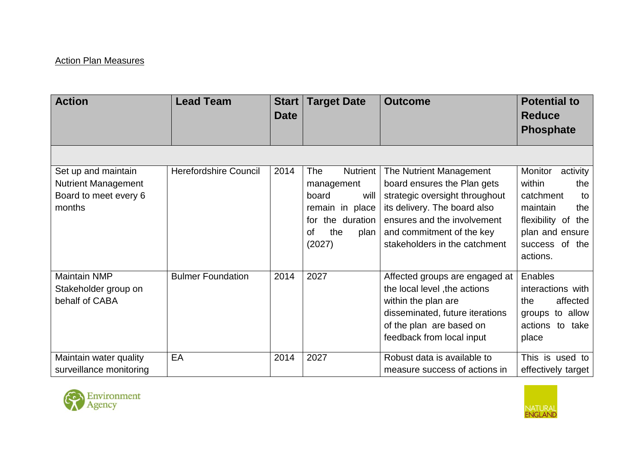# **Action Plan Measures**

| <b>Action</b>              | <b>Lead Team</b>             | <b>Start</b> | <b>Target Date</b> | <b>Outcome</b>                  | <b>Potential to</b>        |
|----------------------------|------------------------------|--------------|--------------------|---------------------------------|----------------------------|
|                            |                              | <b>Date</b>  |                    |                                 | <b>Reduce</b>              |
|                            |                              |              |                    |                                 | <b>Phosphate</b>           |
|                            |                              |              |                    |                                 |                            |
| Set up and maintain        | <b>Herefordshire Council</b> | 2014         | Nutrient<br>The    | The Nutrient Management         | <b>Monitor</b><br>activity |
| <b>Nutrient Management</b> |                              |              | management         | board ensures the Plan gets     | within<br>the              |
| Board to meet every 6      |                              |              | board<br>will      | strategic oversight throughout  | catchment<br>to            |
| months                     |                              |              | remain in place    | its delivery. The board also    | maintain<br>the            |
|                            |                              |              | for the duration   | ensures and the involvement     | flexibility of the         |
|                            |                              |              | the<br>οf<br>plan  | and commitment of the key       | plan and ensure            |
|                            |                              |              | (2027)             | stakeholders in the catchment   | success of the             |
|                            |                              |              |                    |                                 | actions.                   |
| <b>Maintain NMP</b>        | <b>Bulmer Foundation</b>     | 2014         | 2027               | Affected groups are engaged at  | Enables                    |
| Stakeholder group on       |                              |              |                    | the local level , the actions   | interactions with          |
| behalf of CABA             |                              |              |                    | within the plan are             | affected<br>the            |
|                            |                              |              |                    | disseminated, future iterations | to allow<br>groups         |
|                            |                              |              |                    | of the plan are based on        | actions to take            |
|                            |                              |              |                    | feedback from local input       | place                      |
| Maintain water quality     | EA                           | 2014         | 2027               | Robust data is available to     | This is used to            |
| surveillance monitoring    |                              |              |                    | measure success of actions in   | effectively target         |



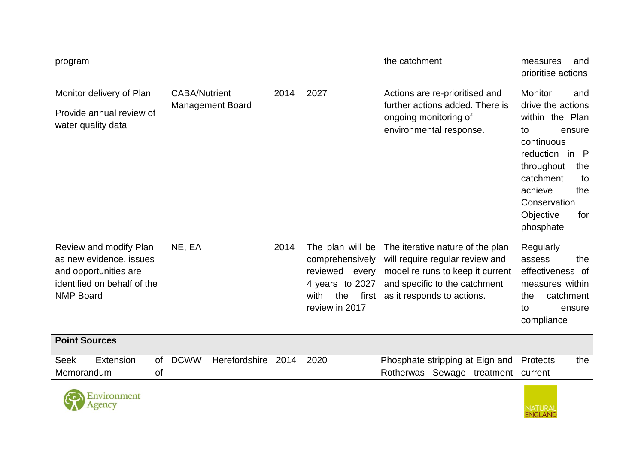| program                                                                                                                       |                                                 |      |                                                                                                                    | the catchment                                                                                                                                                          | measures<br>and<br>prioritise actions                                                                                                                                                                                    |
|-------------------------------------------------------------------------------------------------------------------------------|-------------------------------------------------|------|--------------------------------------------------------------------------------------------------------------------|------------------------------------------------------------------------------------------------------------------------------------------------------------------------|--------------------------------------------------------------------------------------------------------------------------------------------------------------------------------------------------------------------------|
| Monitor delivery of Plan<br>Provide annual review of<br>water quality data                                                    | <b>CABA/Nutrient</b><br><b>Management Board</b> | 2014 | 2027                                                                                                               | Actions are re-prioritised and<br>further actions added. There is<br>ongoing monitoring of<br>environmental response.                                                  | <b>Monitor</b><br>and<br>drive the actions<br>within the Plan<br>ensure<br>to<br>continuous<br>reduction in P<br>throughout<br>the<br>catchment<br>to<br>achieve<br>the<br>Conservation<br>Objective<br>for<br>phosphate |
| Review and modify Plan<br>as new evidence, issues<br>and opportunities are<br>identified on behalf of the<br><b>NMP Board</b> | NE, EA                                          | 2014 | The plan will be<br>comprehensively<br>reviewed every<br>4 years to 2027<br>with<br>the<br>first<br>review in 2017 | The iterative nature of the plan<br>will require regular review and<br>model re runs to keep it current<br>and specific to the catchment<br>as it responds to actions. | Regularly<br>the<br>assess<br>effectiveness of<br>measures within<br>catchment<br>the<br>ensure<br>to<br>compliance                                                                                                      |
| <b>Point Sources</b>                                                                                                          |                                                 |      |                                                                                                                    |                                                                                                                                                                        |                                                                                                                                                                                                                          |
| Extension<br><b>Seek</b><br>of<br>Memorandum<br>οf                                                                            | <b>DCWW</b><br>Herefordshire                    | 2014 | 2020                                                                                                               | Phosphate stripping at Eign and<br>Rotherwas Sewage treatment                                                                                                          | Protects<br>the<br>current                                                                                                                                                                                               |



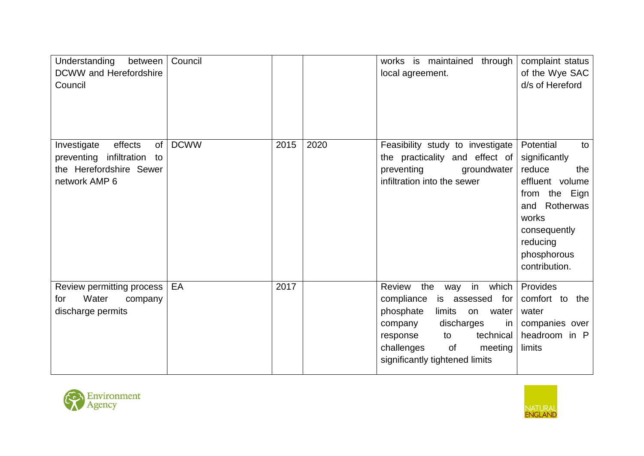| Understanding<br>between<br><b>DCWW</b> and Herefordshire<br>Council                                         | Council     |      |      | works is maintained<br>through<br>local agreement.                                                                                                                                                                                                | complaint status<br>of the Wye SAC<br>d/s of Hereford                                                                                                                       |
|--------------------------------------------------------------------------------------------------------------|-------------|------|------|---------------------------------------------------------------------------------------------------------------------------------------------------------------------------------------------------------------------------------------------------|-----------------------------------------------------------------------------------------------------------------------------------------------------------------------------|
| effects<br>Investigate<br>of<br>preventing<br>infiltration<br>to<br>the Herefordshire Sewer<br>network AMP 6 | <b>DCWW</b> | 2015 | 2020 | Feasibility study to investigate<br>the practicality and effect of<br>preventing<br>groundwater<br>infiltration into the sewer                                                                                                                    | Potential<br>to<br>significantly<br>reduce<br>the<br>effluent volume<br>from the Eign<br>and Rotherwas<br>works<br>consequently<br>reducing<br>phosphorous<br>contribution. |
| Review permitting process<br>Water<br>for<br>company<br>discharge permits                                    | EA          | 2017 |      | Review<br>the<br>in which<br>way<br>compliance<br>is assessed for<br>phosphate<br>limits<br>water<br>on<br>discharges<br>company<br><sub>in</sub><br>technical<br>to<br>response<br>challenges<br>of<br>meeting<br>significantly tightened limits | Provides<br>comfort to the<br>water<br>companies over<br>headroom in P<br>limits                                                                                            |



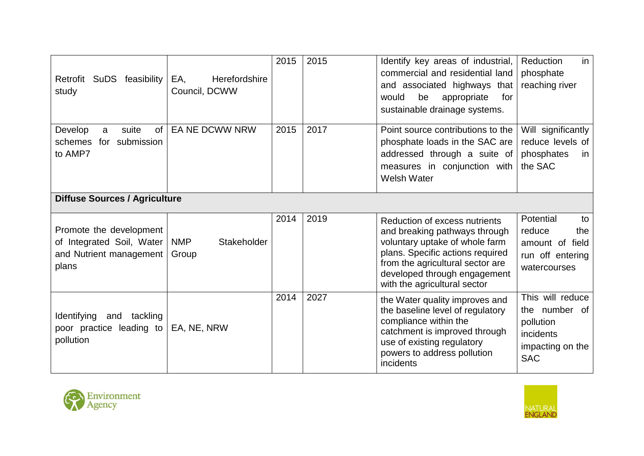| Retrofit<br>SuDS feasibility<br>study                                                    | Herefordshire<br>EA,<br>Council, DCWW | 2015 | 2015 | Identify key areas of industrial,<br>commercial and residential land<br>and associated highways that<br>would<br>be<br>appropriate<br>for<br>sustainable drainage systems.                                                               | Reduction<br>in<br>phosphate<br>reaching river                                                |
|------------------------------------------------------------------------------------------|---------------------------------------|------|------|------------------------------------------------------------------------------------------------------------------------------------------------------------------------------------------------------------------------------------------|-----------------------------------------------------------------------------------------------|
| of<br>suite<br>Develop<br>a<br>schemes<br>submission<br>for<br>to AMP7                   | <b>EA NE DCWW NRW</b>                 | 2015 | 2017 | Point source contributions to the<br>phosphate loads in the SAC are<br>addressed through a suite of<br>measures in conjunction with<br><b>Welsh Water</b>                                                                                | Will significantly<br>reduce levels of<br>phosphates<br>in.<br>the SAC                        |
| <b>Diffuse Sources / Agriculture</b>                                                     |                                       |      |      |                                                                                                                                                                                                                                          |                                                                                               |
| Promote the development<br>of Integrated Soil, Water<br>and Nutrient management<br>plans | <b>NMP</b><br>Stakeholder<br>Group    | 2014 | 2019 | Reduction of excess nutrients<br>and breaking pathways through<br>voluntary uptake of whole farm<br>plans. Specific actions required<br>from the agricultural sector are<br>developed through engagement<br>with the agricultural sector | Potential<br>to<br>reduce<br>the<br>amount of field<br>run off entering<br>watercourses       |
| <b>Identifying</b><br>tackling<br>and<br>poor practice leading to<br>pollution           | EA, NE, NRW                           | 2014 | 2027 | the Water quality improves and<br>the baseline level of regulatory<br>compliance within the<br>catchment is improved through<br>use of existing regulatory<br>powers to address pollution<br>incidents                                   | This will reduce<br>the number of<br>pollution<br>incidents<br>impacting on the<br><b>SAC</b> |



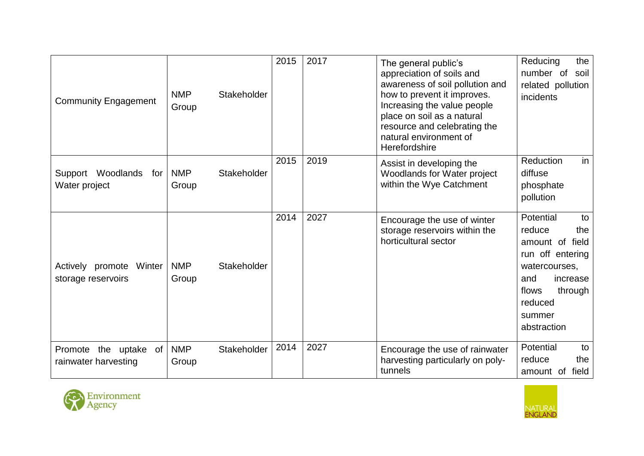| <b>Community Engagement</b>                         | <b>NMP</b><br>Stakeholder<br>Group | 2015 | 2017 | The general public's<br>appreciation of soils and<br>awareness of soil pollution and<br>how to prevent it improves.<br>Increasing the value people<br>place on soil as a natural<br>resource and celebrating the<br>natural environment of<br>Herefordshire | Reducing<br>the<br>number of<br>soil<br>related pollution<br>incidents                                                                                              |
|-----------------------------------------------------|------------------------------------|------|------|-------------------------------------------------------------------------------------------------------------------------------------------------------------------------------------------------------------------------------------------------------------|---------------------------------------------------------------------------------------------------------------------------------------------------------------------|
| Support Woodlands<br>for<br>Water project           | <b>NMP</b><br>Stakeholder<br>Group | 2015 | 2019 | Assist in developing the<br>Woodlands for Water project<br>within the Wye Catchment                                                                                                                                                                         | in<br><b>Reduction</b><br>diffuse<br>phosphate<br>pollution                                                                                                         |
| Actively promote Winter<br>storage reservoirs       | <b>NMP</b><br>Stakeholder<br>Group | 2014 | 2027 | Encourage the use of winter<br>storage reservoirs within the<br>horticultural sector                                                                                                                                                                        | Potential<br>to<br>reduce<br>the<br>amount of field<br>run off entering<br>watercourses,<br>and<br>increase<br>flows<br>through<br>reduced<br>summer<br>abstraction |
| of<br>Promote<br>the uptake<br>rainwater harvesting | <b>NMP</b><br>Stakeholder<br>Group | 2014 | 2027 | Encourage the use of rainwater<br>harvesting particularly on poly-<br>tunnels                                                                                                                                                                               | Potential<br>to<br>reduce<br>the<br>amount of field                                                                                                                 |



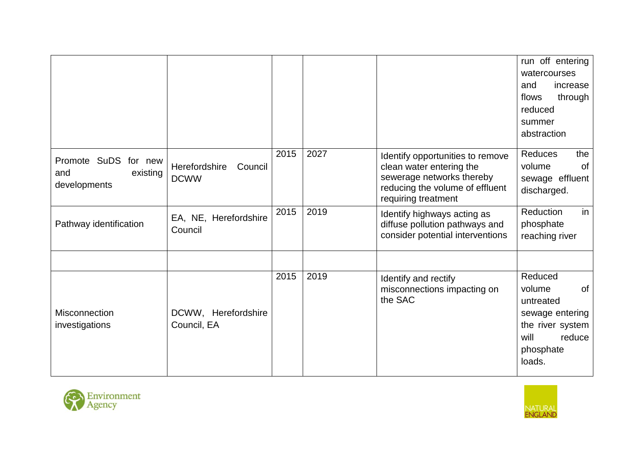|                                                         |                                         |      |      |                                                                                                                                                     | run off entering<br>watercourses<br>and<br>increase<br>flows<br>through<br>reduced<br>summer<br>abstraction |
|---------------------------------------------------------|-----------------------------------------|------|------|-----------------------------------------------------------------------------------------------------------------------------------------------------|-------------------------------------------------------------------------------------------------------------|
| Promote SuDS for new<br>existing<br>and<br>developments | Herefordshire<br>Council<br><b>DCWW</b> | 2015 | 2027 | Identify opportunities to remove<br>clean water entering the<br>sewerage networks thereby<br>reducing the volume of effluent<br>requiring treatment | <b>Reduces</b><br>the<br>volume<br><b>of</b><br>sewage effluent<br>discharged.                              |
| Pathway identification                                  | EA, NE, Herefordshire<br>Council        | 2015 | 2019 | Identify highways acting as<br>diffuse pollution pathways and<br>consider potential interventions                                                   | Reduction<br>in<br>phosphate<br>reaching river                                                              |
|                                                         |                                         | 2015 | 2019 | Identify and rectify<br>misconnections impacting on                                                                                                 | Reduced<br>volume<br>0f                                                                                     |
| Misconnection<br>investigations                         | DCWW, Herefordshire<br>Council, EA      |      |      | the SAC                                                                                                                                             | untreated<br>sewage entering<br>the river system<br>will<br>reduce<br>phosphate<br>loads.                   |



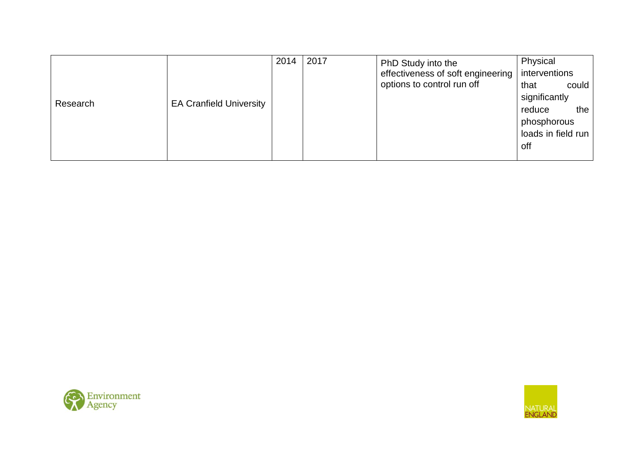|          |                                | 2014 | 2017 | PhD Study into the                | Physical           |       |
|----------|--------------------------------|------|------|-----------------------------------|--------------------|-------|
|          |                                |      |      | effectiveness of soft engineering | interventions      |       |
|          |                                |      |      | options to control run off        | that               | could |
| Research | <b>EA Cranfield University</b> |      |      |                                   | significantly      |       |
|          |                                |      |      |                                   | reduce             | the   |
|          |                                |      |      |                                   | phosphorous        |       |
|          |                                |      |      |                                   | loads in field run |       |
|          |                                |      |      |                                   | off                |       |
|          |                                |      |      |                                   |                    |       |



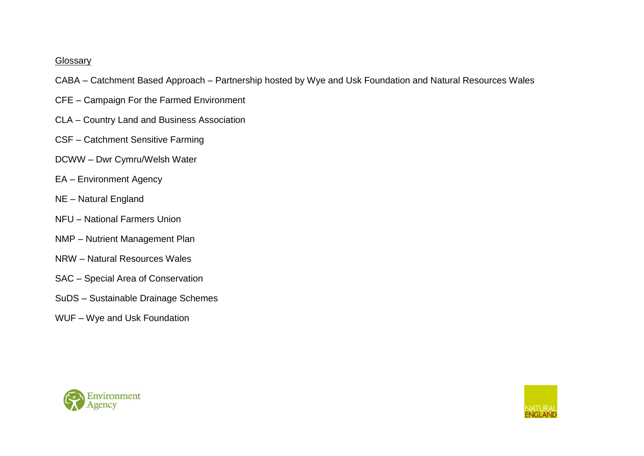#### Glossary

- CABA Catchment Based Approach Partnership hosted by Wye and Usk Foundation and Natural Resources Wales
- CFE Campaign For the Farmed Environment
- CLA Country Land and Business Association
- CSF Catchment Sensitive Farming
- DCWW Dwr Cymru/Welsh Water
- EA Environment Agency
- NE Natural England
- NFU National Farmers Union
- NMP Nutrient Management Plan
- NRW Natural Resources Wales
- SAC Special Area of Conservation
- SuDS Sustainable Drainage Schemes
- WUF Wye and Usk Foundation



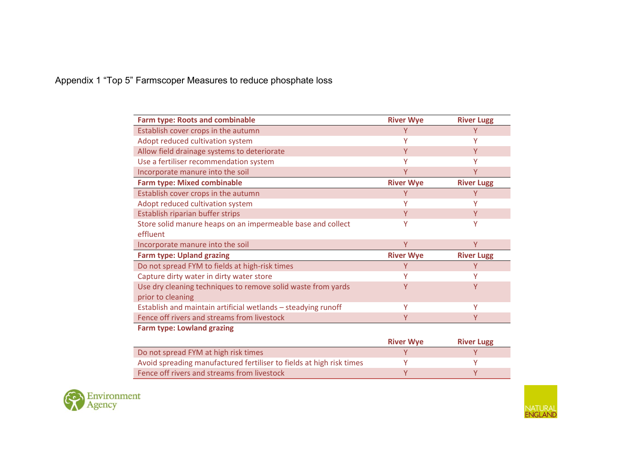# Appendix 1 "Top 5" Farmscoper Measures to reduce phosphate loss

| <b>Farm type: Roots and combinable</b>                               | <b>River Wye</b> | <b>River Lugg</b> |
|----------------------------------------------------------------------|------------------|-------------------|
| Establish cover crops in the autumn                                  | Y                | Υ                 |
| Adopt reduced cultivation system                                     | γ                | v                 |
| Allow field drainage systems to deteriorate                          | Y                | Y                 |
| Use a fertiliser recommendation system                               | v                | Υ                 |
| Incorporate manure into the soil                                     | γ                | Υ                 |
| <b>Farm type: Mixed combinable</b>                                   | <b>River Wye</b> | <b>River Lugg</b> |
| Establish cover crops in the autumn                                  | Y                | Y                 |
| Adopt reduced cultivation system                                     | Υ                | Υ                 |
| Establish riparian buffer strips                                     | Y                | Y                 |
| Store solid manure heaps on an impermeable base and collect          | Υ                |                   |
| effluent                                                             |                  |                   |
| Incorporate manure into the soil                                     | Y                | Y                 |
| <b>Farm type: Upland grazing</b>                                     | <b>River Wye</b> | <b>River Lugg</b> |
| Do not spread FYM to fields at high-risk times                       |                  | Υ                 |
| Capture dirty water in dirty water store                             |                  |                   |
| Use dry cleaning techniques to remove solid waste from yards         | Y                | Ÿ                 |
| prior to cleaning                                                    |                  |                   |
| Establish and maintain artificial wetlands - steadying runoff        | Y                | Y                 |
| Fence off rivers and streams from livestock                          | Υ                | Υ                 |
| <b>Farm type: Lowland grazing</b>                                    |                  |                   |
|                                                                      | <b>River Wye</b> | <b>River Lugg</b> |
| Do not spread FYM at high risk times                                 | Y                | Y                 |
| Avoid spreading manufactured fertiliser to fields at high risk times | v                | Υ                 |
| Fence off rivers and streams from livestock                          | Υ                | Υ                 |